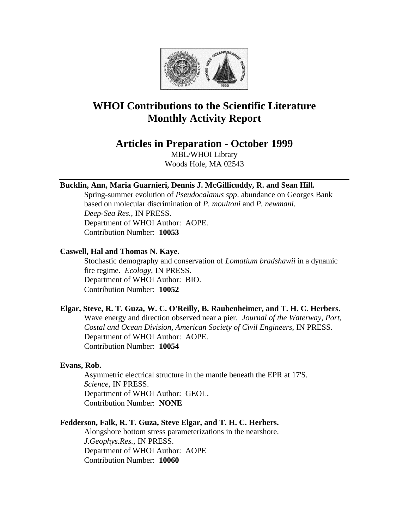

# **WHOI Contributions to the Scientific Literature Monthly Activity Report**

## **Articles in Preparation - October 1999**

MBL/WHOI Library Woods Hole, MA 02543

## **Bucklin, Ann, Maria Guarnieri, Dennis J. McGillicuddy, R. and Sean Hill.**

Spring-summer evolution of *Pseudocalanus spp*. abundance on Georges Bank based on molecular discrimination of *P. moultoni* and *P. newmani*. *Deep-Sea Res.*, IN PRESS. Department of WHOI Author: AOPE. Contribution Number: **10053**

#### **Caswell, Hal and Thomas N. Kaye.**

Stochastic demography and conservation of *Lomatium bradshawii* in a dynamic fire regime. *Ecology*, IN PRESS. Department of WHOI Author: BIO. Contribution Number: **10052**

#### **Elgar, Steve, R. T. Guza, W. C. O'Reilly, B. Raubenheimer, and T. H. C. Herbers.**

Wave energy and direction observed near a pier. *Journal of the Waterway, Port, Costal and Ocean Division, American Society of Civil Engineers*, IN PRESS. Department of WHOI Author: AOPE. Contribution Number: **10054**

#### **Evans, Rob.**

Asymmetric electrical structure in the mantle beneath the EPR at 17'S. *Science*, IN PRESS. Department of WHOI Author: GEOL. Contribution Number: **NONE**

## **Fedderson, Falk, R. T. Guza, Steve Elgar, and T. H. C. Herbers.**

Alongshore bottom stress parameterizations in the nearshore. *J.Geophys.Res.*, IN PRESS. Department of WHOI Author: AOPE Contribution Number: **10060**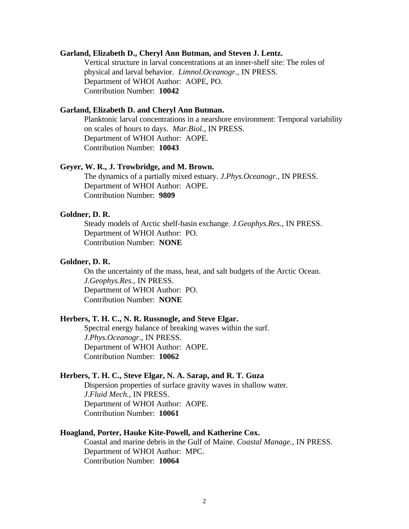#### **Garland, Elizabeth D., Cheryl Ann Butman, and Steven J. Lentz.**

Vertical structure in larval concentrations at an inner-shelf site: The roles of physical and larval behavior. *Limnol.Oceanogr.*, IN PRESS. Department of WHOI Author: AOPE, PO. Contribution Number: **10042**

#### **Garland, Elizabeth D. and Cheryl Ann Butman.**

Planktonic larval concentrations in a nearshore environment: Temporal variability on scales of hours to days. *Mar.Biol.*, IN PRESS. Department of WHOI Author: AOPE. Contribution Number: **10043**

#### **Geyer, W. R., J. Trowbridge, and M. Brown.**

The dynamics of a partially mixed estuary. *J.Phys.Oceanogr.*, IN PRESS. Department of WHOI Author: AOPE. Contribution Number: **9809**

#### **Goldner, D. R.**

Steady models of Arctic shelf-basin exchange. *J.Geophys.Res.*, IN PRESS. Department of WHOI Author: PO. Contribution Number: **NONE**

#### **Goldner, D. R.**

On the uncertainty of the mass, heat, and salt budgets of the Arctic Ocean. *J.Geophys.Res.*, IN PRESS. Department of WHOI Author: PO. Contribution Number: **NONE**

#### **Herbers, T. H. C., N. R. Russnogle, and Steve Elgar.**

Spectral energy balance of breaking waves within the surf. *J.Phys.Oceanogr.*, IN PRESS. Department of WHOI Author: AOPE. Contribution Number: **10062**

#### **Herbers, T. H. C., Steve Elgar, N. A. Sarap, and R. T. Guza**

Dispersion properties of surface gravity waves in shallow water. *J.Fluid Mech.*, IN PRESS. Department of WHOI Author: AOPE. Contribution Number: **10061**

#### **Hoagland, Porter, Hauke Kite-Powell, and Katherine Cox.**

Coastal and marine debris in the Gulf of Maine. *Coastal Manage.*, IN PRESS. Department of WHOI Author: MPC. Contribution Number: **10064**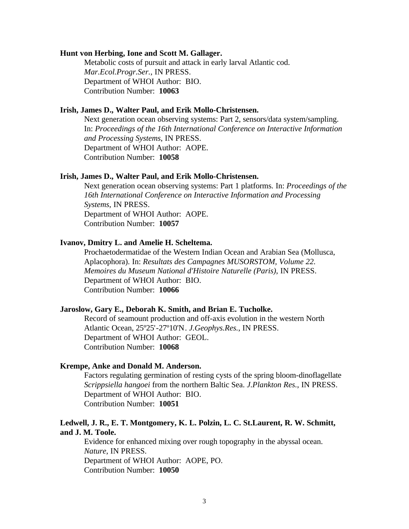#### **Hunt von Herbing, Ione and Scott M. Gallager.**

Metabolic costs of pursuit and attack in early larval Atlantic cod. *Mar.Ecol.Progr.Ser.*, IN PRESS. Department of WHOI Author: BIO. Contribution Number: **10063**

#### **Irish, James D., Walter Paul, and Erik Mollo-Christensen.**

Next generation ocean observing systems: Part 2, sensors/data system/sampling. In: *Proceedings of the 16th International Conference on Interactive Information and Processing Systems*, IN PRESS. Department of WHOI Author: AOPE. Contribution Number: **10058**

#### **Irish, James D., Walter Paul, and Erik Mollo-Christensen.**

Next generation ocean observing systems: Part 1 platforms. In: *Proceedings of the 16th International Conference on Interactive Information and Processing Systems*, IN PRESS. Department of WHOI Author: AOPE. Contribution Number: **10057**

## **Ivanov, Dmitry L. and Amelie H. Scheltema.**

Prochaetodermatidae of the Western Indian Ocean and Arabian Sea (Mollusca, Aplacophora). In: *Resultats des Campagnes MUSORSTOM, Volume 22. Memoires du Museum National d'Histoire Naturelle (Paris)*, IN PRESS. Department of WHOI Author: BIO. Contribution Number: **10066**

#### **Jaroslow, Gary E., Deborah K. Smith, and Brian E. Tucholke.**

Record of seamount production and off-axis evolution in the western North Atlantic Ocean, 25º25'-27º10'N. *J.Geophys.Res.*, IN PRESS. Department of WHOI Author: GEOL. Contribution Number: **10068**

#### **Krempe, Anke and Donald M. Anderson.**

Factors regulating germination of resting cysts of the spring bloom-dinoflagellate *Scrippsiella hangoei* from the northern Baltic Sea. *J.Plankton Res.*, IN PRESS. Department of WHOI Author: BIO. Contribution Number: **10051**

## **Ledwell, J. R., E. T. Montgomery, K. L. Polzin, L. C. St.Laurent, R. W. Schmitt, and J. M. Toole.**

Evidence for enhanced mixing over rough topography in the abyssal ocean. *Nature*, IN PRESS. Department of WHOI Author: AOPE, PO. Contribution Number: **10050**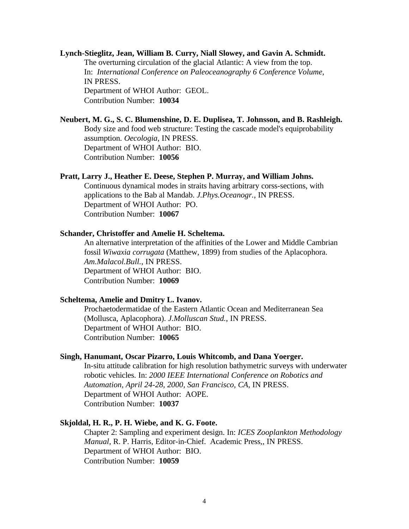## **Lynch-Stieglitz, Jean, William B. Curry, Niall Slowey, and Gavin A. Schmidt.**  The overturning circulation of the glacial Atlantic: A view from the top. In: *International Conference on Paleoceanography 6 Conference Volume*, IN PRESS. Department of WHOI Author: GEOL. Contribution Number: **10034**

## **Neubert, M. G., S. C. Blumenshine, D. E. Duplisea, T. Johnsson, and B. Rashleigh.** Body size and food web structure: Testing the cascade model's equiprobability

assumption. *Oecologia*, IN PRESS. Department of WHOI Author: BIO.

Contribution Number: **10056**

#### **Pratt, Larry J., Heather E. Deese, Stephen P. Murray, and William Johns.**

Continuous dynamical modes in straits having arbitrary corss-sections, with applications to the Bab al Mandab. *J.Phys.Oceanogr.*, IN PRESS. Department of WHOI Author: PO. Contribution Number: **10067**

## **Schander, Christoffer and Amelie H. Scheltema.**

An alternative interpretation of the affinities of the Lower and Middle Cambrian fossil *Wiwaxia corrugata* (Matthew, 1899) from studies of the Aplacophora. *Am.Malacol.Bull.*, IN PRESS. Department of WHOI Author: BIO. Contribution Number: **10069**

#### **Scheltema, Amelie and Dmitry L. Ivanov.**

Prochaetodermatidae of the Eastern Atlantic Ocean and Mediterranean Sea (Mollusca, Aplacophora). *J.Molluscan Stud.*, IN PRESS. Department of WHOI Author: BIO. Contribution Number: **10065**

#### **Singh, Hanumant, Oscar Pizarro, Louis Whitcomb, and Dana Yoerger.**

In-situ attitude calibration for high resolution bathymetric surveys with underwater robotic vehicles. In: *2000 IEEE International Conference on Robotics and Automation, April 24-28, 2000, San Francisco, CA*, IN PRESS. Department of WHOI Author: AOPE. Contribution Number: **10037**

## **Skjoldal, H. R., P. H. Wiebe, and K. G. Foote.**

Chapter 2: Sampling and experiment design. In: *ICES Zooplankton Methodology Manual*, R. P. Harris, Editor-in-Chief. Academic Press*,*, IN PRESS. Department of WHOI Author: BIO. Contribution Number: **10059**